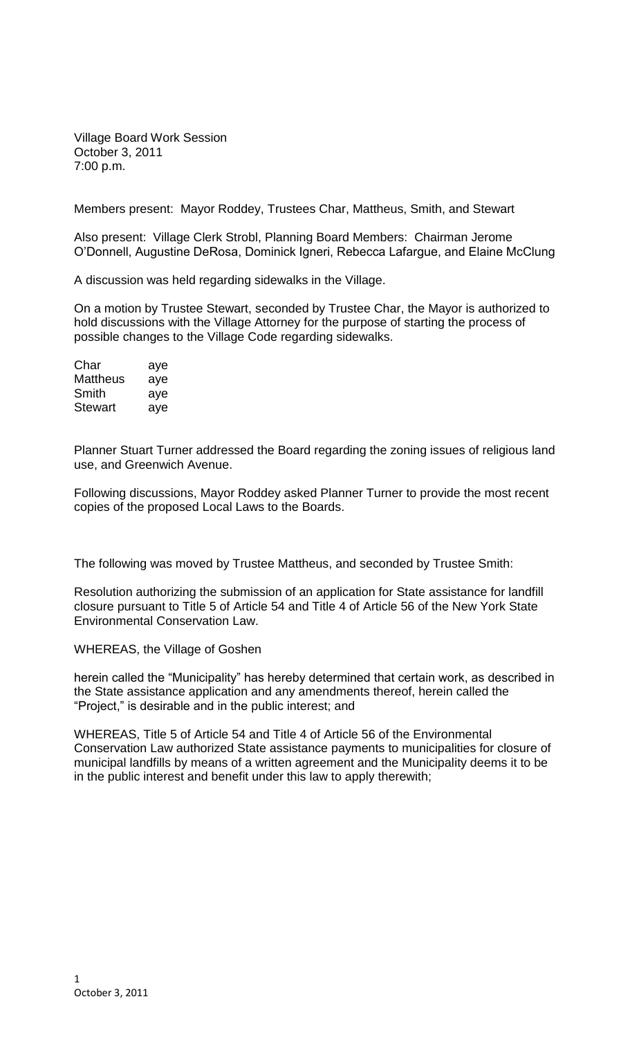Village Board Work Session October 3, 2011 7:00 p.m.

Members present: Mayor Roddey, Trustees Char, Mattheus, Smith, and Stewart

Also present: Village Clerk Strobl, Planning Board Members: Chairman Jerome O'Donnell, Augustine DeRosa, Dominick Igneri, Rebecca Lafargue, and Elaine McClung

A discussion was held regarding sidewalks in the Village.

On a motion by Trustee Stewart, seconded by Trustee Char, the Mayor is authorized to hold discussions with the Village Attorney for the purpose of starting the process of possible changes to the Village Code regarding sidewalks.

| Char     | aye |
|----------|-----|
| Mattheus | aye |
| Smith    | aye |
| Stewart  | aye |

Planner Stuart Turner addressed the Board regarding the zoning issues of religious land use, and Greenwich Avenue.

Following discussions, Mayor Roddey asked Planner Turner to provide the most recent copies of the proposed Local Laws to the Boards.

The following was moved by Trustee Mattheus, and seconded by Trustee Smith:

Resolution authorizing the submission of an application for State assistance for landfill closure pursuant to Title 5 of Article 54 and Title 4 of Article 56 of the New York State Environmental Conservation Law.

WHEREAS, the Village of Goshen

herein called the "Municipality" has hereby determined that certain work, as described in the State assistance application and any amendments thereof, herein called the "Project," is desirable and in the public interest; and

WHEREAS, Title 5 of Article 54 and Title 4 of Article 56 of the Environmental Conservation Law authorized State assistance payments to municipalities for closure of municipal landfills by means of a written agreement and the Municipality deems it to be in the public interest and benefit under this law to apply therewith;